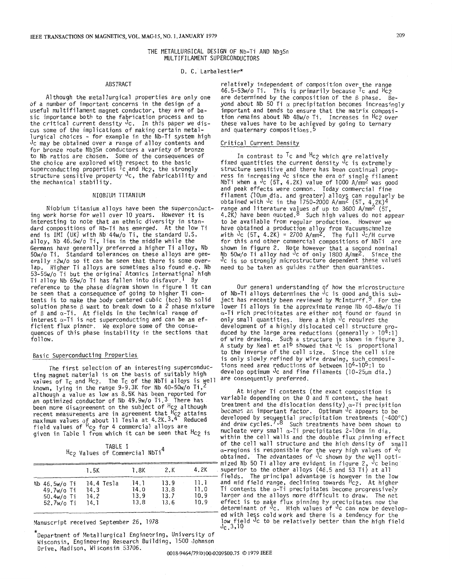## THE METALLURGICAL DESIGN OF Nb-Ti AND NbgSn MULTIFILAMENT SUPERCONDUCTORS

#### D. C. Larbalestier\*

# ABSTRACT

Although the metallurgical properties are only one of a number of important concerns in the design of a useful multifilament magnet conductor, they are of basic importance both to the fabrication process and to<br>the critical current density  $\sqrt{1}$ c. In this paper we discus some of the implications of making certain metallurgical choices - for example in the Nb-Ti system high Jc may be obtained over a range of alloy contents and for bronze route Nb3Sn conductors a variety of bronze to Nb ratios are chosen. Some of the consequences of the choice are explored with respect to the basic superconducting properties <sup>T</sup>c and Hc<sub>2</sub>, the strongly structure sensitive property Jc, the fabricability and the mechanical stability.

# NIOBIUM TITANIUM

Niobium titanium alloys have been the superconducting work horse for well over 10 years. However it is interesting to note that an ethnic diversity in standard compositions of Nb-Ti has emerged. At the low Ti end is IMI (UK) with Nb 44w/o Ti, the standard U.S. alloy, Nb 46.5w/o Ti, lies in the middle while the Germans have generally preferred a higher Ti alloy, Nb 50w/o Ti. Standard tolerances on these alloys are generally  $\pm 2w/\sigma$  so it can be seen that there is some over-<br>lap. Higher Ti alloys are sometimes also found e.g. Nb 53-55w/o Ti but the original Atomics International hish Ti alloy Nb 65w/o Ti has fallen into disfavor.<sup>1</sup> By<br>reference to the phase diagram shown in figure 1 it can be seen that a consequence of going to higher Ti con-<br>tents is to make the body centered cubic (bcc) Nb solid solution phase  $\beta$  want to break down to a 2 phase mixture of  $\beta$  and  $\alpha$ -Ti. At fields in the technical range of interest  $\alpha$ -Ti is not superconducting and can be an efficient flux pinner. We explore some of the consequences of this phase instability in the sections that foll ow.

## Basic Superconducting Properties

The first selection of an interesting superconducting magnet material is on the basis of suitably high values of Tc and Hc2. The Tc of the NbTi alloys is well known, lying in the range 9-9.3K for Nb 40-50W/o  $1,2$ although a value as low as **8.5K** has been reported for an optimized conductor of Nb 49.9w/o Ti. **3** There has been more disagreement on the subject of Hc<sub>2</sub> although<br>recent measurements are in agreement that  $\frac{H_{C2}}{P_{C2}}$  attains recent measurements are in agreement that Hc2 attains maximum values of about 11 Tesla at 4.2K. 3,4 Reduced  $f$ ield values of  $\frac{\pi}{2}$  for 4 commercial alloys are given in Table 1 from which it can be seen that Hc2 is

TABLE I Hc<sub>2</sub> Values of Commercial NbTi<sup>4</sup>

|                              | 4.2K                                    | ==================== mized Nb 50 Ti alloy are evident in figure 2, <sup>J</sup> c being<br>superior to the other alloys (46.5 and 53 Ti) at all                                                                                                                                                                                                                                            |
|------------------------------|-----------------------------------------|--------------------------------------------------------------------------------------------------------------------------------------------------------------------------------------------------------------------------------------------------------------------------------------------------------------------------------------------------------------------------------------------|
| 13.9<br>13.8<br>13.7<br>13.6 | 11.1<br>11.0<br>10.9<br>10.9            | fields. The principal advantage is however in the low<br>and mid field range, declining towards <sup>H</sup> c2. At higher<br>Ti contents the $\alpha$ -Ti precipitates become progressively<br>larger and the alloys more difficult to draw. The net<br>effect is to make flux pinning by precipitates now the<br>determinant of $\sqrt{2}$ . High values of $\sqrt{2}$ can now be develo |
|                              | 1.8K<br>$-14.1$<br>14.0<br>13.9<br>13.8 | 2.K                                                                                                                                                                                                                                                                                                                                                                                        |

\*<br>Department of Metallurgical Engineering, Universit Wisconsin, Engineering Research Building, 1500 Johnson Drive, Madison, Wixonsin 53706.

relatively independent of composition over the range 46.5-53w/o Ti. This is primarily because  $T_c$  and  $Hc_2$ are determined by the composition of the  $\beta$  phase. Beyond about Nb 50 Ti a precipitation becomes increasingly important and tends to ensure that the matrix composi-<br>tion remains about Nb 48w/o Ti. Increases in Hc2 over these values have to be achieved by going to ternary and quaternary compositions.<sup>5</sup>

# Critical Current Density

In contrast to <sup>1</sup>c and <sup>H</sup>c2 which are relatively fixed quantities the current density <sup>J</sup>c is extrem structure sensitive and there has been continual progress in increasing  $\mathsf{Jc}$  since the era of single filame NbTi when a Jc (5T, 4.2K) value of 1000 A/mm2 was good and peak effects were common. Today commercial fine filament (10Um dia. and greater) alloys can regularly be obtained with <sup>J</sup>c in the 1750-2000 A/mm<sup>2</sup> (5T, 4,2K) range and literature values of up to 3600 A/mm2 (5T, 4.2K) have been ouoted.8 Such high values do not appear to be available from regular production. However we have obtained a production alloy from Vacuumschmelze<br>with  $\sqrt{2}c$  (5T, 4.2K) = 2700 A/mm<sup>2</sup>. The full  $\sqrt{2}c$ /H curve for this and other commercial compositions of NbTi are shown in figure 2. Note however that a second nominal Nb 50w/o Ti alloy had <sup>u</sup>c of only 1800 A/mm<sup>2</sup>. Since the<br>J<sub>C</sub> is so strongly microstructure dependent these values need to be taken as guides rather than guarantees.

Our general understanding of how the mfcrostructure of Nb-Ti alloys determines the <sup>J</sup>c is good and this subject has recently been reviewed by McInturff.". For the lower Ti alloys in the approximate range Nb 40-48w/o Ti a-Ti rich preci?itates are either not found or found in only small quantities. Here a high <sup>o</sup>c requires development of a highly dislocated cell structure produced by the large area reductions (generally  $> 10^{4}:1$ ) of wire drawing. Such a structure is shown in figure 3. A study by Neal et al<sup>o</sup> showed that <sup>J</sup>c is proportional to the inverse of the cell size. Since the cell size is only slowly refined by wire drawing, such comp tions need area reductions of between 104-105:l to develop optimum Jc and fine filaments (10-25um dia.) are consequently preferred.

At higher Ti contents (the exact composition is  $variable$  depending on the  $0$  and  $N$  content, the heat treatment and the dislocation density)  $\alpha$ -Ti precipition becomes an important factor. Optimum <sup>J</sup>c appears to be developed by sequential precipitation treatments (-400°C) and draw cycles.', Such treatments have been shown to nucleate very small a-Ti precipitates 2-10nm in dia. within the cell walls and the double flux pinning effect of the cell wall structure and the high density of small a-regions is responsible for the very high values  $\mathsf{obtained}$ . The advantages of <sup>J</sup>c shown by the well op mized Nb 50 Ti alloy are evident in figure 2, <sup>J</sup>c beinc fields. The principal advantage is however in the low Ti contents the  $\alpha$ -Ti precipitates become progressively<br>larger and the alloys more difficult to draw. The net  $50.4$ w/o Ti  $14.2$  13.9 13.7 10.9 larger and the alloys more difficult to draw. The net  $52.7$ w/o Ti 14.1 13.8 13.6 10.9 effect is to make flux pinning by precipitates now the developed with less cold work and there is a tendency for the Manuscript received September 26, 1978 low field <sup>o</sup>c to be relatively better than the high field low field low field low field and the high field low field low field low field low field low field low field low field low f 1.5K 1.8K 2.K 4.2K superior to the other alloys (46.5 and 53 Ti) at all  $\frac{1}{2}$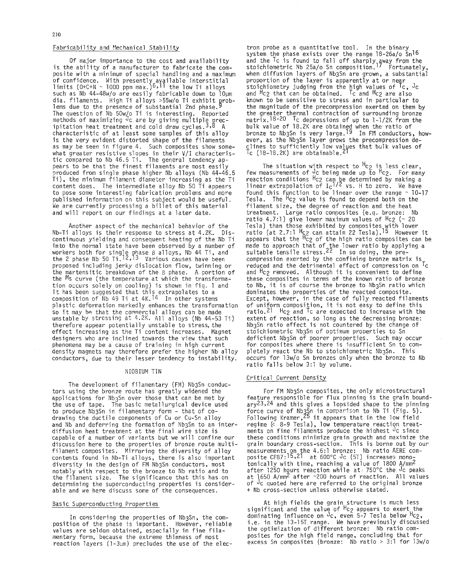## Fabricability and Mechanical Stability

Of major importance to the cost and availability is the ability of a manufacturer to fabricate the composite with a minimum of special handling and a maximum of confidence. With presently available interstit<br>limits (O+C+N ~ 1000 ppm max.)6.11 the low Ti allo such as Nb 44-48w/o are easily fabricable down to lOum dia. filaments. High Ti alloys >55w/o Ti exhibit problems due to the presence of substantial 2nd phase.<sup>5</sup> The question of Nb 50w/o Ti is interesting. Repo $\overline{\phantom{a}}$ methods of maximizing <sup>o</sup>c are by giving multiple  $\bm{{\rm p}}$ ipitation heat treatment and cold draw cycles.3~8 A characteristic of at least some samples of this alloy is the very evident distorted shape of the filaments as may be seen in figure 4. Such composites show somewhat greater resistive slopes in their V/I characteristic compared to Nb 46.5 Ti. The general tendency appears to be that the finest filaments are most easily produced from single phase higher Nb alloys (Nb 44-46.5 Ti), the minimum filament diameter increasing as the Ti content does. The intermediate alloy Nb 50 Ti appears to pose some interesting fabrication problems and more published information on this subject would be useful. We are currently processing a billet of this material and will report on our findings at a later date.

Another aspect of the mechanical behavior of the Nb-Ti alloys is their response to stress at 4.2K. Discontinuous yielding and consequent heating of the Nb Ti into the normal state have been observed by a number of workers both for single phase β alloys, Nb 44 Ti, and the 2 phase Nb 50 Ti.14,13 Various causes ha proposed including jerky dislocation flow, twinning or the martensitic breakdown of the 6 phase. A portion of the Ms curve (the temperature at which the transformation occurs solely on cooling) is shown in fiq. 1 and eron occurs sortly on cooring) is shown in tig. it<br>it has been suggested that this extrapolates to a<br>composition of Nb 49 Ti at 4K.<sup>14</sup> In other systems plastic deformation markedly enhances the transformation so it may be that the commercial alloys can be made unstable by stressing at 4.2K. All alloys (Nb 44-53 Ti) therefore appear potentially unstable to stress, the effect increasing as the Ti content increases. Magnet designers who are inclined towards the view that such phenomena may be a cause of training in high current density magnets may therefore prefer the higher Nb alloy conductors, due to their lesser tendency to instability.

#### NIOBIUM TIN

The development of filamentary (FM) Nb3Sn conductors using the bronze route has greatly widened the applications for Nb3Sn over those that can be met by the use of tape. The basic metallurgical device used to produce Nb3Sn in filamentary form - that of codrawing the ductile components of Cu or Cu-Sn alloy and Nb and deferring the formation of Nb3Sn to an interdiffusion heat treatment at the final wire size is capable of a number of variants but we will confine our discussion here to the properties of bronze route multifilament composites. Mirroring the diversity of alloy contents found in Nb-Ti alloys, there is also diversity in the design of FM Nb3Sn conductors, mos notably with respect to the bronze to Nb ratio and to the filament size. The significance that this has on determining the superconducting properties is considerable and we here discuss some of the consequences.

### Basic Superconducting Properties

In considering the properties of Nb3Sn, the composition of the phase is important. However, reliable values are seldom obtained, especially in fine filamentary form, because the extreme thinness of most reaction layers ( $1-3\mu$ m) precludes the use of the elec-

tron probe as a quantitative tool. In the binary system the phase exists over the range 18-26a/o Sn16 and the <sup>i</sup>c is found to fall off sharply gway from the stoichiometric Nb 25a/o Sn composition.'' Fortunatel when diffusion layers of NbgSn are grown, a substantial proportion of the layer is apparently at or near stoichiometry judging from the high values of  $T_c$ ,  $J_c$ and Hc<sub>2</sub> that can be obtained. To and Hc<sub>2</sub> are also known to be sensitive to stress and in particular to the magnitude of the precompression exerted on them by the greater thermal contraction of surrounding matrix.18-40 Tc depressions of up to 1-1, bulk value of 18.2K are obtained when the ratio of bronze to Nb3Sn is very large.'" In FM conductors, however, as the Nb3Sn layer grows the precompression de- $\tt c$ lines to sufficiently low values that bulk valu  $\sqrt{16}$  (18-18.2K) are obtainable

The situation with respect to "c $_2$  is less clear, few measurements of Jc being made up to Hc2. For many reaction conditions Hc2 can be determined by making a linear extrapolation of I<sub>C</sub>1/4 vs. H to zero. We have<br>found this function to be linear over the range ~ 10-17<br>Tesla. The <sup>H</sup>c2 value is found to depend both on the filament size, the degree of reaction and the heat treatment. Large ratio composites (e.q. bronze: Nb ratio 4.7:1) give lower maximum values of  $Hc2$  ( $\sim$  20 Tesla) than those exhibited by composites with lower<br>ratio (at 2.7:1 <sup>H</sup>c2 can attain 22 Tesla).<sup>15</sup> However it<br>appears that the <sup>H</sup>c2 of the high ratio composites can be made to approach that of the lower ratio by applying a suitable tensile stress.44 In so doing, the p compression exerted by the confining bronze matrix is reduced and the detrimental effect of compression on Tc and Hc<sub>2</sub> removed. Although it is convenient to define these composites in terms of the known ratio of bronze to Nb, it is of course the bronze to Nb3Sn ratio which dominates the properties of the reacted composite. Except, however, in the case of fully reacted filaments of uniform composition, it is not easy to define this ratio.<sup>21</sup> Hc<sub>2</sub> and <sup>T</sup>c are expected to increase with the extent of reaction, so long as the decreasing bro Nb3Sn ratio effect is not countered by the chan stoichiometric Nb3Sn of optimum prooerties to Sn deficient Nb3Sn of poorer properties. Such may occur for composites where there is insufficient Sn to completely react the Nb to stoichiometric Nb3Sn. This occurs for 13w/o Sn bronzes only when the bronze to Nb ratio falls below 3:l by volume.

### Critical Current Density

For FM Nb3Sn composites, the only microstructural feature responsible for flux pinning is the grain boundary23,24 and this gives a lopsided shape to the pinning force curve of Nb3Sn in comparison to Nb Ti (Fig. 5).<br>Following Kramer,<sup>25</sup> it appears that in the low fiel regime (< 8-9 Tesla), low temperature reaction treatments on fine filaments produce the highest  $Jc$  since these conditions minimize grain growth and maximize the grain boundary cross-section. This is borne out by our measurements on the 4.6:l bronze: Nb ratio AERE composite CF87:15,21 at 600°C Jc (5T) increases monotonically with time, reaching a value of 1800 A/mm2 after 1250 hours reaction while at 750°C the <sup>J</sup>c peaks<br>at 1650 A/mm<sup>2</sup> after ~200 hours of reaction. All values of Jc quoted here are referred to the original bronze + Nb cross-section unless otherwise stated.

At high fields the grain structure is much less significant and the value of <sup>H</sup>c $_{2}$  appears to exert th dominating influence on  $\sqrt{3}$  even 5-7 Tesla below  $\frac{H_{C2}}{C_2}$ , i.e. in the 13-15T range. We have previously discussed the optimization of different bronze: Nb ratio composites for the high field range, concluding excess Sn composites (bronze: Nb ratio > 3:l for 'i3w/o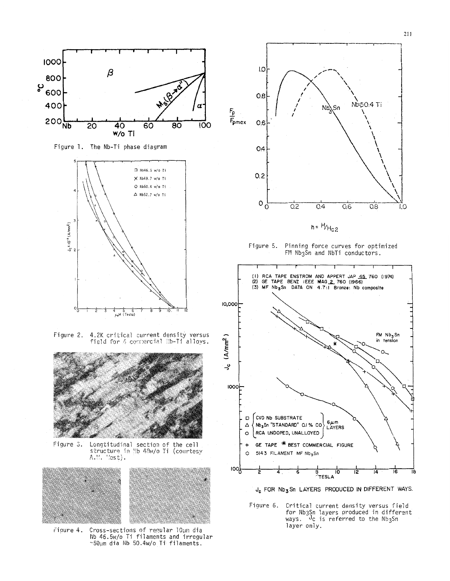

Longtitudinal section of the cell<br>structure in Nb 48w/o Ti (courtesy Figure 3.  $A.H.$  $'$ cst).



Cross-sections of regular 10µm dia<br>Nb 46.5w/o Ti filaments and irregular rigure 4. ~50um dia Nb 50.4w/o Ti filaments.



Figure 5. Pinning force curves for optimized FM Nb3Sn and NbTi conductors.



J<sub>c</sub> FOR Nb<sub>3</sub> Sn LAYERS PRODUCED IN DIFFERENT WAYS.

Figure 6. Critical current density versus field for Nb3Sn layers produced in different ways. Jc is referred to the Nb3Sn layer only.